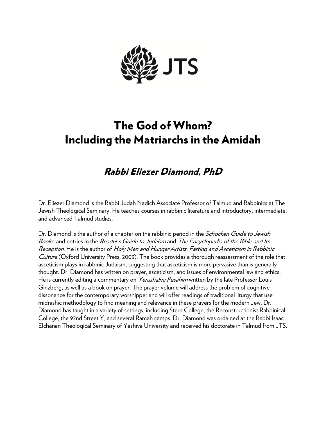

# The God of Whom? Including the Matriarchs in the Amidah

## Rabbi Eliezer Diamond, PhD

Dr. Eliezer Diamond is the Rabbi Judah Nadich Associate Professor of Talmud and Rabbinics at The Jewish Theological Seminary. He teaches courses in rabbinic literature and introductory, intermediate, and advanced Talmud studies.

Dr. Diamond is the author of a chapter on the rabbinic period in the *Schocken Guide to Jewish* Books, and entries in the Reader's Guide to Judaism and The Encyclopedia of the Bible and Its Reception. He is the author of Holy Men and Hunger Artists: Fasting and Asceticism in Rabbinic Culture (Oxford University Press, 2003). The book provides a thorough reassessment of the role that asceticism plays in rabbinic Judaism, suggesting that asceticism is more pervasive than is generally thought. Dr. Diamond has written on prayer, asceticism, and issues of environmental law and ethics. He is currently editing a commentary on *Yerushalmi Pesahim* written by the late Professor Louis Ginzberg, as well as a book on prayer. The prayer volume will address the problem of cognitive dissonance for the contemporary worshipper and will offer readings of traditional liturgy that use midrashic methodology to find meaning and relevance in these prayers for the modern Jew. Dr. Diamond has taught in a variety of settings, including Stern College, the Reconstructionist Rabbinical College, the 92nd Street Y, and several Ramah camps. Dr. Diamond was ordained at the Rabbi Isaac Elchanan Theological Seminary of Yeshiva University and received his doctorate in Talmud from JTS.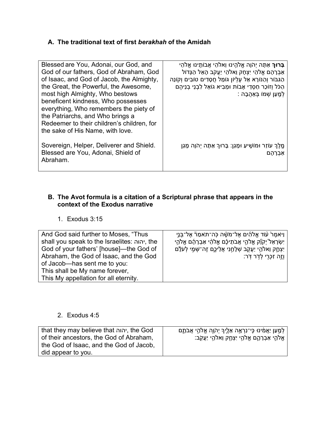#### **A. The traditional text of first** *berakhah* **of the Amidah**

| Blessed are You, Adonai, our God, and      | <b>ַבָּרוּךְ</b> אַתָּה יְהֹןָה אֱלֹהֱינוּ וֵאלֹהֵי אֲבוֹתֵינוּ אֱלֹהֵי |
|--------------------------------------------|-------------------------------------------------------------------------|
| God of our fathers, God of Abraham, God    | אַבְרָהָם אֱלֹהֵי יִצְחָק וֵאלֹהֵי יַעֲקֹב הָאֱל הַגָּדוֹל              |
| of Isaac, and God of Jacob, the Almighty,  | הַגְּבּוֹר וְהַנּוֹרָא אֶל עֵלְיוֹן גּוֹמֶל חֲסָדִים טוֹבִים וִקוֹנֵה   |
| the Great, the Powerful, the Awesome,      | הַכֹּל וְזוֹכֶר חַסְדֵי אָבוֹת וּמֵבִיא גוֹאֵל לְבְנֵי בְנֵיהֵם         |
| most high Almighty, Who bestows            | ֹלְמֵעַן שָׁמוֹ בְּאַהֲבָה :                                            |
| beneficent kindness, Who possesses         |                                                                         |
| everything, Who remembers the piety of     |                                                                         |
| the Patriarchs, and Who brings a           |                                                                         |
| Redeemer to their children's children, for |                                                                         |
| the sake of His Name, with love.           |                                                                         |
|                                            |                                                                         |
| Sovereign, Helper, Deliverer and Shield.   | מֱלֵךְ עוֹזֵר וּמוֹשֵׁיעַ וּמָגֵן: בָּרוּךְ אַתָּה יְהֹוָה מָגֵן        |
| Blessed are You, Adonai, Shield of         | אַבִרהַם                                                                |
| Abraham.                                   |                                                                         |
|                                            |                                                                         |

#### **B. The Avot formula is a citation of a Scriptural phrase that appears in the context of the Exodus narrative**

### 1. Exodus 3:15

| And God said further to Moses, "Thus<br>shall you speak to the Israelites: יהוה, the<br>God of your fathers' [house]—the God of<br>Abraham, the God of Isaac, and the God<br>of Jacob-has sent me to you: | ַוַיֹּאמֶרْ עוֹד אֱלֹהִים אֶל־מֹשָׁה כָּה־תֹאמַרٞ אֶל־בָּנֵי<br>יִשְׂרָאֵל יִקֹןٗק אֱלֹהֵי אֲבֹתֵיכֶם אֱלֹהֵי אַבְרָהָם אֱלֹהֵי<br>יִצְחֶק וֵאלֹהֵי יַעֲקָב שְׁלָחַנִי אֲלֵיכֶם זֶה־שָּׁמָי לְעֹלָם<br>ְוֹזֶה זְכָרֶי לְדָר דְּר: |
|-----------------------------------------------------------------------------------------------------------------------------------------------------------------------------------------------------------|-----------------------------------------------------------------------------------------------------------------------------------------------------------------------------------------------------------------------------------|
|                                                                                                                                                                                                           |                                                                                                                                                                                                                                   |
| This shall be My name forever,<br>This My appellation for all eternity.                                                                                                                                   |                                                                                                                                                                                                                                   |
|                                                                                                                                                                                                           |                                                                                                                                                                                                                                   |

## 2. Exodus 4:5

| that they may believe that יהוה, the God                                           | ַלְמַעַן יַאֲמִינוּ כִּי־נִרְאֶה אֵלֶיךָ יְהֹוֶה אֱלֹהֵי אֲבֹתֶם |
|------------------------------------------------------------------------------------|------------------------------------------------------------------|
| of their ancestors, the God of Abraham,<br>the God of Isaac, and the God of Jacob, | ּאֱלֹהֵי אַבְרָהֶם אֱלֹהֵי יִצְחֶק וֵאלֹהֵי <u>י</u> עֲקֹב:      |
| did appear to you.                                                                 |                                                                  |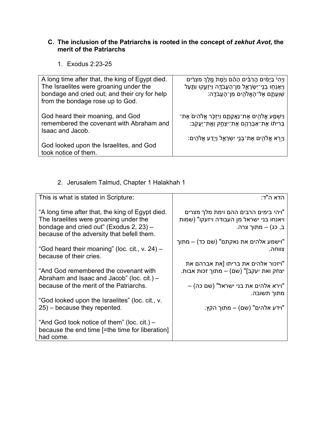### **C. The inclusion of the Patriarchs is rooted in the concept of** *zekhut Avot***, the merit of the Patriarchs**

1. Exodus 2:23-25

| A long time after that, the king of Egypt died.<br>The Israelites were groaning under the<br>bondage and cried out; and their cry for help<br>from the bondage rose up to God. | וַיִהִיْ בַיָּמִים הֶרַבִּים הָהֶם וַיָּמָת <sup>ָ</sup> מֵלֶךְ מִצְרַיִם<br>וַיֵּאָנְחָוּ בְנֵי־יִשְׂרָאֱל מִן־הָעֲבֹדֶה וַיִּזְעֶקוּ וַתַּעַל<br>ֹשׁוְעָתֶם אֶל־הָאֱלֹהִים מִן־הָעֲבֹדֱה: |
|--------------------------------------------------------------------------------------------------------------------------------------------------------------------------------|---------------------------------------------------------------------------------------------------------------------------------------------------------------------------------------------|
| God heard their moaning, and God<br>remembered the covenant with Abraham and<br>Isaac and Jacob.                                                                               | וַיִּשְׁמַע אֱלֹהִים אֶת־נַאֲקָתֶם וַיִּזְכָּר אֱלֹהִים אֶת־<br>ְבִּרִיתוֹ אֶת־אַבְרָהֶם אֶת־יִצְחֶק וְאֱת־יַעֲקֹב:<br>ּוַיִּרָא אֱלֹהִים אֶת־בְּנֵי יִשְׂרָאֱל וַיָּדַע אֱלֹהִים:          |
| God looked upon the Israelites, and God<br>took notice of them.                                                                                                                |                                                                                                                                                                                             |

### 2. Jerusalem Talmud, Chapter 1 Halakhah 1

| This is what is stated in Scripture:                                                                                                                                                | הדא ה"ד:                                                                                               |
|-------------------------------------------------------------------------------------------------------------------------------------------------------------------------------------|--------------------------------------------------------------------------------------------------------|
| "A long time after that, the king of Egypt died.<br>The Israelites were groaning under the<br>bondage and cried out" (Exodus 2, 23) -<br>because of the adversity that befell them. | ויהי בימים הרבים ההם וימת מלך מצרים"<br>ויאנחו בני ישראל מן העבודה ויזעקו" (שמות<br>ב, כג) – מתוך צרה. |
| "God heard their moaning" (loc. cit., v. 24) -                                                                                                                                      | וישמע אלהים את נאקתם" (שם כד) – מתוך"                                                                  |
| because of their cries.                                                                                                                                                             | צווחה.                                                                                                 |
| "And God remembered the covenant with                                                                                                                                               | ויזכור אלהים את בריתו [את אברהם את"                                                                    |
| Abraham and Isaac and Jacob" (loc. cit.) $-$                                                                                                                                        | יצחק ואת יעקב]" (שם) – מתוך זכות אבות.                                                                 |
| because of the merit of the Patriarchs.                                                                                                                                             | – וירא אלהים את בני ישראל" (שם כה)                                                                     |
| "God looked upon the Israelites" (loc. cit., v.                                                                                                                                     | מתוך תשובה.                                                                                            |
| $25$ ) – because they repented.                                                                                                                                                     | וידע אלהים" (שם) – מתוך הקץ."                                                                          |
| "And God took notice of them" (loc. cit.) $-$<br>because the end time [=the time for liberation]<br>had come.                                                                       |                                                                                                        |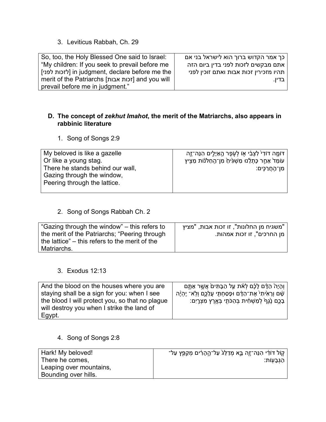3. Leviticus Rabbah, Ch. 29

| So, too, the Holy Blessed One said to Israel:    | כך אמר הקדוש ברוך הוא לישראל בני אם    |
|--------------------------------------------------|----------------------------------------|
| "My children: If you seek to prevail before me   | אתם מבקשים לזכות לפני בדין ביום הזה    |
| jin judgment, declare before me the              | תהיו מזכירין זכות אבות ואתם זוכין לפני |
| merit of the Patriarchs [זכות אבות] and you will | ו בדיו.                                |
| prevail before me in judgment."                  |                                        |

#### **D. The concept of** *zekhut Imahot***, the merit of the Matriarchs, also appears in rabbinic literature**

1. Song of Songs 2:9

| My beloved is like a gazelle     | ּדּוֹמֶה דוֹדִי לִצְבִ֫י אָוֹ לְעְפֶר הֶאַיָּלֵים הִנֵּה־זֶה |
|----------------------------------|--------------------------------------------------------------|
| Or like a young stag.            | עומֶד אַחֲר כָּתָלֵינוּ מַשְׁגִּיחַ מִן־הַחַלֹּנוֹת מֵצִיץ   |
| There he stands behind our wall, | מִן־הַחֲרַכֶּים:                                             |
| Gazing through the window,       |                                                              |
| Peering through the lattice.     |                                                              |
|                                  |                                                              |

#### 2. Song of Songs Rabbah Ch. 2

| "Gazing through the window" – this refers to   | ן "משגיח מן החלונות", זו זכות אבות, "מציץ |
|------------------------------------------------|-------------------------------------------|
| the merit of the Patriarchs; "Peering through  | מן החרכים", זו זכות אמהות.                |
| the lattice" – this refers to the merit of the |                                           |
| Matriarchs.                                    |                                           |

## 3. Exodus 12:13

| And the blood on the houses where you are       | וְהָיָהْ הַדָּם לָכֶۢם לְאֹת עֵל הַבָּתִּים אֲשֶׁר אַתֱם         |
|-------------------------------------------------|------------------------------------------------------------------|
| staying shall be a sign for you: when I see     | ֹשָׁם וְרָאִיתִי אֶת־הַדָּם וּפָסַחְתָּי עֲלֵכֶם וְלְאֹ־ יֶהְיֶה |
| the blood I will protect you, so that no plague | ָבָכֵם נֵׂגֶףׂ לְמַשְׁחָׁית בְּהַכֹּתֶי בְּאֱרֶץ מִצְרֶיִם:      |
| will destroy you when I strike the land of      |                                                                  |
| Egypt.                                          |                                                                  |

4. Song of Songs 2:8

| Hark! My beloved!       | ַקוֹל דּוֹדִי הִנֵּה־זֶה בֶּא מִדַלֵּגֹ עַל־הֶהָרִים מִקַפֵּץ עַל־ |
|-------------------------|--------------------------------------------------------------------|
| There he comes,         | הַגְּבַעְוֹת:                                                      |
| Leaping over mountains, |                                                                    |
| Bounding over hills.    |                                                                    |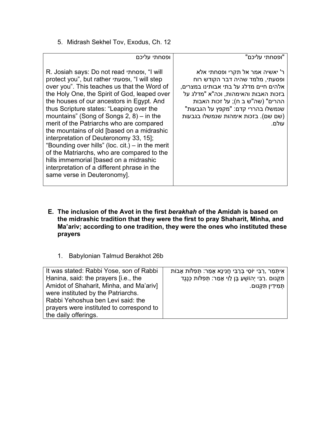5. Midrash Sekhel Tov, Exodus, Ch. 12

| ופסחתי עליכם                                                                                                                                                                                                                                                                                                                                                                                                                                                                                                                                                                                                                                                                                      | "ופסחתי עליכם"                                                                                                                                                                                                                                                                 |
|---------------------------------------------------------------------------------------------------------------------------------------------------------------------------------------------------------------------------------------------------------------------------------------------------------------------------------------------------------------------------------------------------------------------------------------------------------------------------------------------------------------------------------------------------------------------------------------------------------------------------------------------------------------------------------------------------|--------------------------------------------------------------------------------------------------------------------------------------------------------------------------------------------------------------------------------------------------------------------------------|
| R. Josiah says: Do not read ווא I', "I will<br>protect you", but rather ופסעתי, "I will step<br>over you". This teaches us that the Word of<br>the Holy One, the Spirit of God, leaped over<br>the houses of our ancestors in Egypt. And<br>thus Scripture states: "Leaping over the<br>mountains" (Song of Songs $2, 8$ ) – in the<br>merit of the Patriarchs who are compared<br>the mountains of old [based on a midrashic<br>interpretation of Deuteronomy 33, 15];<br>"Bounding over hills" (loc. cit.) – in the merit<br>of the Matriarchs, who are compared to the<br>hills immemorial [based on a midrashic<br>interpretation of a different phrase in the<br>same verse in Deuteronomy]. | ר' יאשיה אמר אל תקרי ופסחתי אלא<br>ופסעתי, מלמד שהיה דבר הקודש רוח<br>אלהים חיים מדלג על בתי אבותינו במצרים,<br>בזכות האבות והאימהות, וכה"א "מדלג על<br>ההרים" (שה"ש ב ח); על זכות האבות<br>שנמשלו בהררי קדם: "מקפץ על הגבעות"<br>(שם שם). בזכות אימהות שנמשלו בגבעות<br>עולם. |

- **E. The inclusion of the Avot in the first** *berakhah* **of the Amidah is based on the midrashic tradition that they were the first to pray Shaharit, Minha, and Ma'ariv; according to one tradition, they were the ones who instituted these prayers**
	- 1. Babylonian Talmud Berakhot 26b

| It was stated: Rabbi Yose, son of Rabbi  | אִיתְּמַר ,רַבִּי יוֹסֵי בְּרַבִּי חֲנִינָא אָמַר: תְּפִלּוֹת אָבוֹת |
|------------------------------------------|----------------------------------------------------------------------|
| Hanina, said: the prayers [i.e., the     | תִּקְנוּם .רַבִּי יְהוֹשָׁעַ בֵּן לֵוִי אָמַר: תִּפְלּוֹת כְּנֵגֶד   |
| Amidot of Shaharit, Minha, and Ma'ariv]  | תִּמִידִין תִּקְנוּם.                                                |
| were instituted by the Patriarchs.       |                                                                      |
| Rabbi Yehoshua ben Levi said: the        |                                                                      |
| prayers were instituted to correspond to |                                                                      |
| the daily offerings.                     |                                                                      |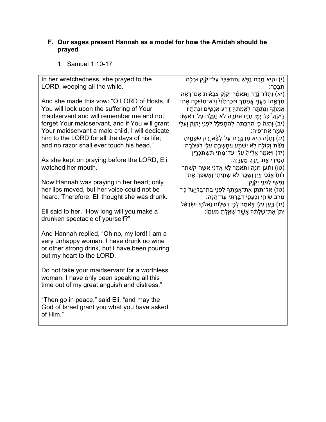#### **F. Our sages present Hannah as a model for how the Amidah should be prayed**

1. Samuel 1:10-17

| In her wretchedness, she prayed to the<br>LORD, weeping all the while. | (י) וְהִיא מֶרַת נֶפֶשׁ וַתְּתְפַלֵּל עַל־יְקֹוֶק וּבָכָה)<br>ּתִבְכֵּה:                                                        |
|------------------------------------------------------------------------|---------------------------------------------------------------------------------------------------------------------------------|
|                                                                        | (יא) וַתָּדֹּר נֶדֶר וַתּאמַר יִקֹנְק צְבָאוֹת אִם־רָאָה)                                                                       |
| And she made this vow: "O LORD of Hosts, if                            | ֹתָרְאֱהּا בָּעֱנֵי אֲמָתֶ֫ךָּ וּזְכַרְתַּׂנָי וְלָא־תִשְׁכֵּח אֶת־                                                             |
| You will look upon the suffering of Your                               | אֲמָתֶךְ וְנָתַתָּה לַאֲמָתְךָ זֶרַע אֲנָשֶׁים וּנְתַתֵּיו                                                                      |
| maidservant and will remember me and not                               | ַלִיקֹוָק <sup>ָ</sup> כָּל־יְמֵי חַיָּיו וּמוֹרֶה לֹא־יַעֲלֶה עַל־רֹאשָׂוֹ:                                                    |
| forget Your maidservant, and if You will grant                         | (יב) וְהָיָהֹ כֵּי הִרְבָּתָר לְהָתְפַלֵּל לְפָנֵי יִקְוֶק וְעֵלֵי                                                              |
| Your maidservant a male child, I will dedicate                         | ֿשׂמֵר אֶת־פֵּיהָ:                                                                                                              |
| him to the LORD for all the days of his life;                          | (יג) וְחַנָּה הָיא מְדַבֱרֵת עַל־לְבָּהּ רֵק שְׂפָתֵיהָ                                                                         |
| and no razor shall ever touch his head."                               | ֶנְעֹוֹת וְקוֹלֶהּ לְא יִשָּׁמֵעַ וַיַּחְשָׁבֵהָ עֵלֵי לְשָׁכֹּרֶה:                                                             |
|                                                                        | יד) וַיָּאמֶר אֶלֶיהָ עֵלִי עַד־מֶתַי תִּשְׁתַּכְרֶין)                                                                          |
| As she kept on praying before the LORD, Eli                            | ֹהָסִירִי אֶת־יֵיְנֵךְ מֵעָלֵיִךְ:                                                                                              |
| watched her mouth.                                                     | ֿ(טו) וַתַּֿעַן חַנֶּה וַתֹּאמֶרֹ לְא אֲדֹנִי אִשֶׁה קְשַׁת<br>ּרֹוּחַ אָנֹכִי וַיַיִן וְשֶׁכָר לְא שָׁתֵיתִי וָאֱשִׁפְּךָ אֶת־ |
| Now Hannah was praying in her heart; only                              | ַנַפְשֶׁי לִפְנֵי יְקָוֶק:                                                                                                      |
| her lips moved, but her voice could not be                             | ַ (טז) אַל־תָּתֵן אֶת־אֲמֶתְךָ לְפָנֵיְ בַּת־בִלְיֶעַל כֶּי־                                                                    |
| heard. Therefore, Eli thought she was drunk.                           | ְמֵרָב שִׂיחֶי וְכַעְסֵי דְּבֵּרְתִּי עַד־הֱנָּה:                                                                               |
|                                                                        | יז) וַיְעַן עֵלֶי וַיָּאמֶר לְכָי לְשָׁלֵוֹם וֵאלֹהֵי יִשְׂרָאֵל                                                                |
| Eli said to her, "How long will you make a                             | ְיִתֵּן אֶת־שֵׁלְתֶׁךָ אֲשֵׁר שָׁאַלְתָּ מֵעְמָּוֹ:                                                                             |
| drunken spectacle of yourself?"                                        |                                                                                                                                 |
|                                                                        |                                                                                                                                 |
| And Hannah replied, "Oh no, my lord! I am a                            |                                                                                                                                 |
| very unhappy woman. I have drunk no wine                               |                                                                                                                                 |
| or other strong drink, but I have been pouring                         |                                                                                                                                 |
| out my heart to the LORD.                                              |                                                                                                                                 |
| Do not take your maidservant for a worthless                           |                                                                                                                                 |
| woman; I have only been speaking all this                              |                                                                                                                                 |
| time out of my great anguish and distress."                            |                                                                                                                                 |
|                                                                        |                                                                                                                                 |
| "Then go in peace," said Eli, "and may the                             |                                                                                                                                 |
| God of Israel grant you what you have asked                            |                                                                                                                                 |
| of Him."                                                               |                                                                                                                                 |
|                                                                        |                                                                                                                                 |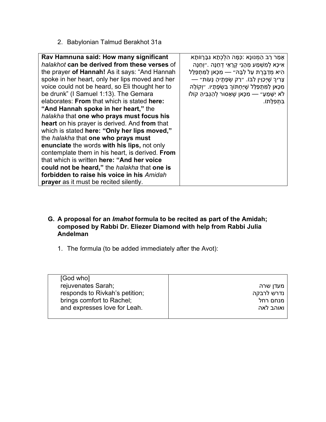2. Babylonian Talmud Berakhot 31a

| Rav Hamnuna said: How many significant          | אָמַר רַב הַמְנוּנָא :כַּמָּה הָלְכְתָא גִּבָּרָוּוֹתָא       |
|-------------------------------------------------|---------------------------------------------------------------|
| halakhot can be derived from these verses of    | אִיכָּא לְמִשְׁמַע מֶהָנֵי קִרָאֵי דְחַנָּה .״וְחַנָּה        |
| the prayer of Hannah! As it says: "And Hannah   | הִיא מִדַבֵּרֵת עַל לְבָּהּ״ — מִכָּאן לַמְּתִפַּלֵּל         |
| spoke in her heart, only her lips moved and her | צְרִיךְ שֶׁיְכָוֵין לְבּוֹ. ״רַק שְׂפָתֶיהָ נָּעוֹת״          |
| voice could not be heard, so Eli thought her to | מִכָּאן לַמְתִפַּלֵּל שֶׁיַּחָתּוֹךְ בִּשְׂפָתָיו. ״וְקוֹלָהּ |
| be drunk" (I Samuel 1:13). The Gemara           | לֹא יִשָּׁמֵעַ״ — מִכָּאן שֶׁאָסוּר לְהַגְבִּיהַ קוֹלוֹ       |
| elaborates: From that which is stated here:     | בִּתְפְלָתוֹ.                                                 |
| "And Hannah spoke in her heart," the            |                                                               |
| halakha that one who prays must focus his       |                                                               |
| heart on his prayer is derived. And from that   |                                                               |
| which is stated here: "Only her lips moved,"    |                                                               |
| the <i>halakha</i> that one who prays must      |                                                               |
| enunciate the words with his lips, not only     |                                                               |
| contemplate them in his heart, is derived. From |                                                               |
| that which is written here: "And her voice      |                                                               |
| could not be heard," the halakha that one is    |                                                               |
| forbidden to raise his voice in his Amidah      |                                                               |
| <b>prayer</b> as it must be recited silently.   |                                                               |

- **G. A proposal for an** *Imahot* **formula to be recited as part of the Amidah; composed by Rabbi Dr. Eliezer Diamond with help from Rabbi Julia Andelman**
	- 1. The formula (to be added immediately after the Avot):

| [God who]                      |            |
|--------------------------------|------------|
| rejuvenates Sarah;             | מעדן שרה   |
| responds to Rivkah's petition; | נדרש לרבקה |
| brings comfort to Rachel;      | מנחם רחל   |
| and expresses love for Leah.   | ואוהב לאה  |
|                                |            |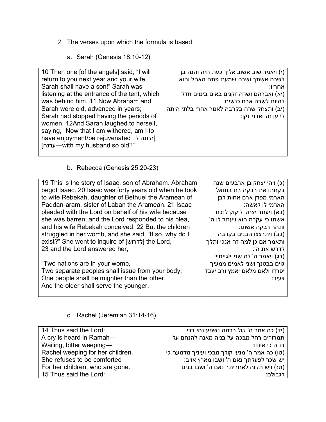- 2. The verses upon which the formula is based
	- a. Sarah (Genesis 18:10-12)

| 10 Then one [of the angels] said, "I will    | י) ויאמר שוב אשוב אליך כעת חיה והנה בן   |
|----------------------------------------------|------------------------------------------|
| return to you next year and your wife        | לשרה אשתך ושרה שמעת פתח האהל והוא        |
| Sarah shall have a son!" Sarah was           | אחריו:                                   |
| listening at the entrance of the tent, which | (יא) ואברהם ושרה זקנים באים בימים חדל    |
| was behind him. 11 Now Abraham and           | להיות לשרה ארח כנשים:                    |
| Sarah were old, advanced in years;           | (יב) ותצחק שרה בקרבה לאמר אחרי בלתי היתה |
| Sarah had stopped having the periods of      | לי עדנה ואדני זקן:                       |
| women. 12And Sarah laughed to herself,       |                                          |
| saying, "Now that I am withered, am I to     |                                          |
| have enjoyment/be rejuvenated \[היתה לי      |                                          |
| -with my husband so old?"                    |                                          |
|                                              |                                          |

b. Rebecca (Genesis 25:20-23)

| 19 This is the story of Isaac, son of Abraham. Abraham | (כ) ויהי יצחק בן ארבעים שנה   |
|--------------------------------------------------------|-------------------------------|
| begot Isaac. 20 Isaac was forty years old when he took | בקחתו את רבקה בת בתואל        |
| to wife Rebekah, daughter of Bethuel the Aramean of    | הארמי מפדן ארם אחות לבן       |
| Paddan-aram, sister of Laban the Aramean. 21 Isaac     | הארמי לו לאשה:                |
| pleaded with the Lord on behalf of his wife because    | (כא) ויעתר יצחק ליקוק לנכח    |
| she was barren; and the Lord responded to his plea,    | 'אשתו כי עקרה הוא ויעתר לו ה  |
| and his wife Rebekah conceived. 22 But the children    | ותהר רבקה אשתו:               |
| struggled in her womb, and she said, "If so, why do I  | (כב) ויתרצצו הבנים בקרבה      |
| exist?" She went to inquire of [לדרוש] the Lord,       | ותאמר אם כן למה זה אנכי ותלך  |
| 23 and the Lord answered her,                          | :'לדרש את ה                   |
|                                                        | (כג) ויאמר ה' לה שני <גיים>   |
| "Two nations are in your womb,                         | גוים בבטנך ושני לאמים ממעיך   |
| Two separate peoples shall issue from your body;       | יפרדו ולאם מלאם יאמץ ורב יעבד |
| One people shall be mightier than the other,           | צעיר:                         |
| And the older shall serve the younger.                 |                               |
|                                                        |                               |

c. Rachel (Jeremiah 31:14-16)

| 14 Thus said the Lord:           | (יד) כה אמר ה' קול ברמה נשמע נהי בכי          |
|----------------------------------|-----------------------------------------------|
| A cry is heard in Ramah-         | תמרורים רחל מבכה על בניה מאנה להנחם על        |
| Wailing, bitter weeping-         | בניה כי איננו:                                |
| Rachel weeping for her children. | (טו) כה אמר ה' מנעי קולך מבכי ועיניך מדמעה כי |
| She refuses to be comforted      | יש שכר לפעלתך נאם ה' ושבו מארץ אויב:          |
| For her children, who are gone.  | (טז) ויש תקוה לאחריתך נאם ה' ושבו בנים        |
| 15 Thus said the Lord:           | לגבולם:                                       |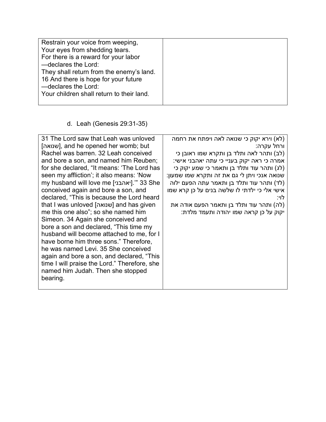| Restrain your voice from weeping,         |  |
|-------------------------------------------|--|
| Your eyes from shedding tears.            |  |
| For there is a reward for your labor      |  |
| -declares the Lord:                       |  |
| They shall return from the enemy's land.  |  |
| 16 And there is hope for your future      |  |
| -declares the Lord:                       |  |
| Your children shall return to their land. |  |
|                                           |  |

## d. Leah (Genesis 29:31-35)

| 31 The Lord saw that Leah was unloved        | (לא) וירא יקוק כי שנואה לאה ויפתח את רחמה    |
|----------------------------------------------|----------------------------------------------|
| [שנואה], and he opened her womb; but         | ורחל עקרה:                                   |
| Rachel was barren, 32 Leah conceived         | (לב) ותהר לאה ותלד בן ותקרא שמו ראובן כי     |
| and bore a son, and named him Reuben;        | אמרה כי ראה יקוק בעניי כי עתה יאהבני אישי:   |
| for she declared, "It means: 'The Lord has   | (לג) ותהר עוד ותלד בן ותאמר כי שמע יקוק כי   |
| seen my affliction'; it also means: 'Now     | שנואה אנכי ויתן לי גם את זה ותקרא שמו שמעון: |
| my husband will love me [יאהבני]. " 33 She   | (לד) ותהר עוד ותלד בן ותאמר עתה הפעם ילוה    |
| conceived again and bore a son, and          | אישי אלי כי ילדתי לו שלשה בנים על כן קרא שמו |
| declared, "This is because the Lord heard    | :לוי                                         |
| that I was unloved [שנואה] and has given     | (לה) ותהר עוד ותלד בן ותאמר הפעם אודה את     |
| me this one also"; so she named him          | יקוק על כן קראה שמו יהודה ותעמד מלדת:        |
| Simeon. 34 Again she conceived and           |                                              |
| bore a son and declared, "This time my       |                                              |
| husband will become attached to me, for I    |                                              |
| have borne him three sons." Therefore,       |                                              |
| he was named Levi. 35 She conceived          |                                              |
| again and bore a son, and declared, "This    |                                              |
| time I will praise the Lord." Therefore, she |                                              |
| named him Judah. Then she stopped            |                                              |
| bearing.                                     |                                              |
|                                              |                                              |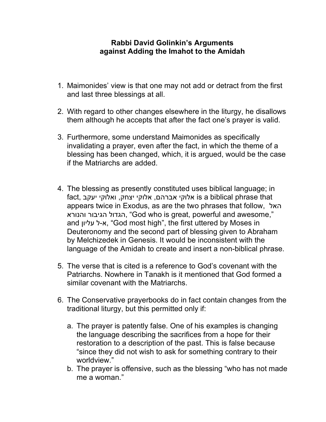## **Rabbi David Golinkin's Arguments against Adding the Imahot to the Amidah**

- 1. Maimonides' view is that one may not add or detract from the first and last three blessings at all.
- 2. With regard to other changes elsewhere in the liturgy, he disallows them although he accepts that after the fact one's prayer is valid.
- 3. Furthermore, some understand Maimonides as specifically invalidating a prayer, even after the fact, in which the theme of a blessing has been changed, which, it is argued, would be the case if the Matriarchs are added.
- 4. The blessing as presently constituted uses biblical language; in fact, אלוקי יצחק, ואלוקי יעקב is a biblical phrase that appears twice in Exodus, as are the two phrases that follow, האל והנורא הגיבור הגדול," God who is great, powerful and awesome," and א-ל עליון, "God most high", the first uttered by Moses in Deuteronomy and the second part of blessing given to Abraham by Melchizedek in Genesis. It would be inconsistent with the language of the Amidah to create and insert a non-biblical phrase.
- 5. The verse that is cited is a reference to God's covenant with the Patriarchs. Nowhere in Tanakh is it mentioned that God formed a similar covenant with the Matriarchs.
- 6. The Conservative prayerbooks do in fact contain changes from the traditional liturgy, but this permitted only if:
	- a. The prayer is patently false. One of his examples is changing the language describing the sacrifices from a hope for their restoration to a description of the past. This is false because "since they did not wish to ask for something contrary to their worldview."
	- b. The prayer is offensive, such as the blessing "who has not made me a woman."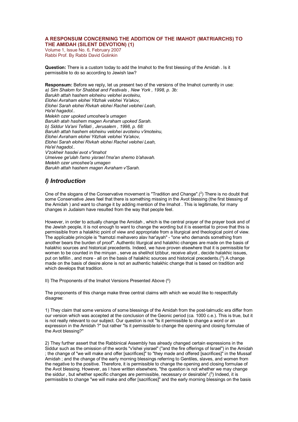#### **A RESPONSUM CONCERNING THE ADDITION OF THE IMAHOT (MATRIARCHS) TO THE AMIDAH (SILENT DEVOTION) (1)**

Volume 1, Issue No. 6, February 2007 Rabbi Prof. By Rabbi David Golinkin

**Question:** There is a custom today to add the Imahot to the first blessing of the Amidah . Is it permissible to do so according to Jewish law?

**Responsum:** Before we reply, let us present two of the versions of the Imahot currently in use: *a) Sim Shalom for Shabbat and Festivals , New York , 1998, p. 3b: Barukh attah hashem eloheinu velohei avoteinu, Elohei Avraham elohei Yitzhak velohei Ya'akov, Elohei Sarah elohei Rivkah elohei Rachel velohei Leah, Ha'el hagadol.. Melekh ozer upoked umoshee'a umagen Barukh atah hashem magen Avraham upoked Sarah. b) Siddur Va'ani Tefilati , Jerusalem , 1998, p. 68: Barukh attah hashem eloheinu velohei avoteinu v'imoteinu, Elohei Avraham elohei Yitzhak velohei Ya'akov, Elohei Sarah elohei Rivkah elohei Rachel velohei Leah, Ha'el hagadol.. V'zokheir hasdei avot v"imahot Umeivee ge'ulah l'amo yisrael l'ma'an shemo b'ahavah. Melekh ozer umoshee'a umagen Barukh attah hashem magen Avraham v'Sarah.*

#### *I) Introduction*

One of the slogans of the Conservative movement is "Tradition and Change".(<sup>2</sup>) There is no doubt that some Conservative Jews feel that there is something missing in the Avot blessing (the first blessing of the Amidah ) and want to change it by adding mention of the Imahot . This is legitimate, for many changes in Judaism have resulted from the way that people feel.

However, in order to actually change the Amidah , which is the central prayer of the prayer book and of the Jewish people, it is not enough to want to change the wording but it is essential to prove that this is permissible from a halakhic point of view and appropriate from a liturgical and theological point of view. The applicable principle is "hamotzi meihavero alav har'ayah" - "one who demands something from another bears the burden of proof". Authentic liturgical and halakhic changes are made on the basis of halakhic sources and historical precedents. Indeed, we have proven elsewhere that it is permissible for women to be counted in the minyan , serve as shelihot tzibbur, receive aliyot , decide halakhic issues, put on tefillin, and more - all on the basis of halakhic sources and historical precedents.( $3$ ) A change made on the basis of desire alone is not an authentic halakhic change that is based on tradition and which develops that tradition.

II) The Proponents of the Imahot Versions Presented Above (4)

The proponents of this change make three central claims with which we would like to respectfully disagree:

1) They claim that some versions of some blessings of the Amidah from the post-talmudic era differ from our version which was accepted at the conclusion of the Geonic period (ca. 1000 c.e.). This is true, but it is not really relevant to our subject. Our question is not "Is it permissible to change a word or an expression in the Amidah ?" but rather "Is it permissible to change the opening and closing formulae of the Avot blessing?"

2) They further assert that the Rabbinical Assembly has already changed certain expressions in the Siddur such as the omission of the words "v'ishei yisrael" ("and the fire offerings of Israel") in the Amidah ; the change of "we will make and offer [sacrifices]" to "they made and offered [sacrifices]" in the Mussaf Amidah ; and the change of the early morning blessings referring to Gentiles, slaves, and women from the negative to the positive. Therefore, it is permissible to change the opening and closing formulae of the Avot blessing. However, as I have written elsewhere, "the question is not whether we may change the siddur , but whether specific changes are permissible, necessary or desirable".(5 ) Indeed, it is permissible to change "we will make and offer [sacrifices]" and the early morning blessings on the basis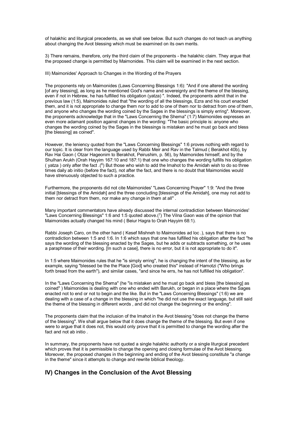of halakhic and liturgical precedents, as we shall see below. But such changes do not teach us anything about changing the Avot blessing which must be examined on its own merits.

3) There remains, therefore, only the third claim of the proponents - the halakhic claim. They argue that the proposed change is permitted by Maimonides. This claim will be examined in the next section.

III) Maimonides' Approach to Changes in the Wording of the Prayers

The proponents rely on Maimonides (Laws Concerning Blessings 1:6): "And if one altered the wording [of any blessing], as long as he mentioned God's name and sovereignty and the theme of the blessing, even if not in Hebrew, he has fulfilled his obligation (yatza) ". Indeed, the proponents admit that in the previous law (1:5), Maimonides ruled that "the wording of all the blessings, Ezra and his court enacted them, and it is not appropriate to change them nor to add to one of them nor to detract from one of them, and anyone who changes the wording coined by the Sages in the blessings is simply erring". Moreover, the proponents acknowledge that in the "Laws Concerning the Shema" (1:7) Maimonides expresses an even more adamant position against changes in the wording: "The basic principle is: anyone who changes the wording coined by the Sages in the blessings is mistaken and he must go back and bless Ithe blessing as coined".

However, the leniency quoted from the "Laws Concerning Blessings" 1:6 proves nothing with regard to our topic. It is clear from the language used by Rabbi Meir and Rav in the Talmud ( Berakhot 40b), by Rav Hai Gaon ( Otzar Hageonim to Berakhot, Peirushim, p. 56), by Maimonides himself, and by the Shulhan Arukh (Orah Hayyim 167:10 and 187:1) that one who changes the wording fulfills his obligation ( yatza ) only after the fact .<sup>(6)</sup> But those who wish to add the Imahot to the Amidah wish to do so three times daily ab initio (before the fact), not after the fact, and there is no doubt that Maimonides would have strenuously objected to such a practice.

Furthermore, the proponents did not cite Maimonides' "Laws Concerning Prayer" 1:9: "And the three initial [blessings of the Amidah] and the three concluding [blessings of the Amidah], one may not add to them nor detract from them, nor make any change in them at all" .

Many important commentators have already discussed the internal contradiction between Maimonides' "Laws Concerning Blessings" 1:6 and 1:5 quoted above.<sup> $(7)$ </sup> The Vilna Gaon was of the opinion that Maimonides actually changed his mind ( Beiur Hagra to Orah Hayyim 68:1).

Rabbi Joseph Caro, on the other hand ( Kesef Mishneh to Maimonides ad loc .), says that there is no contradiction between 1:5 and 1:6. In 1:6 which says that one has fulfilled his obligation after the fact "he says the wording of the blessing enacted by the Sages, but he adds or subtracts something, or he uses a paraphrase of their wording. [In such a case], there is no error, but it is not appropriate to do it".

In 1:5 where Maimonides rules that he "is simply erring", he is changing the intent of the blessing, as for example, saying "blessed be the the Place [God] who created this" instead of Hamotzi ("Who brings forth bread from the earth"), and similar cases, "and since he errs, he has not fulfilled his obligation".

In the "Laws Concerning the Shema" (he "is mistaken and he must go back and bless [the blessing] as coined" ) Maimonides is dealing with one who ended with Barukh, or began in a place where the Sages enacted not to end or not to begin and the like. But in the "Laws Concerning Blessings" (1:6) we are dealing with a case of a change in the blessing in which "he did not use the exact language, but still said the theme of the blessing in different words , and did not change the beginning or the ending".

The proponents claim that the inclusion of the Imahot in the Avot blessing "does not change the theme of the blessing". We shall argue below that it does change the theme of the blessing. But even if one were to argue that it does not, this would only prove that it is permitted to change the wording after the fact and not ab initio .

In summary, the proponents have not quoted a single halakhic authority or a single liturgical precedent which proves that it is permissible to change the opening and closing formulae of the Avot blessing. Moreover, the proposed changes in the beginning and ending of the Avot blessing constitute "a change in the theme" since it attempts to change and rewrite biblical theology.

#### **IV) Changes in the Conclusion of the Avot Blessing**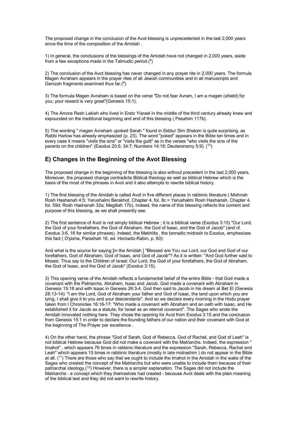The proposed change in the conclusion of the Avot blessing is unprecedented in the last 2,000 years since the time of the composition of the Amidah .

1) In general, the conclusions of the blessings of the Amidah have not changed in 2,000 years, aside from a few exceptions made in the Talmudic period. $(^8)$ 

2) The conclusion of the Avot blessing has never changed in any prayer rite in 2,000 years. The formula Magen Avraham appears in the prayer rites of all Jewish communities and in all manuscripts and Genizah fragments examined thus far.(9)

3) The formula Magen Avraham is based on the verse "Do not fear Avram, I am a magen (shield) for you; your reward is very great"(Genesis 15:1).

4) The Amora Resh Lakish who lived in Eretz Yisrael in the middle of the third century already knew and expounded on the traditional beginning and end of this blessing ( Pesahim 117b).

5) The wording " magen Avraham upoked Sarah " found in Siddur Sim Shalom is quite surprising, as Rabbi Harlow has already emphasized (p. 23). The word "poked" appears in the Bible ten times and in every case it means "visits the sins" or "visits the guilt" as in the verses "who visits the sins of the parents on the children" (Exodus 20:5; 34:7; Numbers 14:18; Deuteronomy 5:9).  $(10)$ 

#### **E) Changes in the Beginning of the Avot Blessing**

The proposed change in the beginning of the blessing is also without precedent in the last 2,000 years, Moreover, the proposed change contradicts Biblical theology as well as biblical Hebrew which is the basis of the most of the phrases in Avot and it also attempts to rewrite biblical history.

1) The first blessing of the Amidah is called Avot in five different places in rabbinic literature ( Mishnah Rosh Hashanah 4:5; Yerushalmi Berakhot, Chapter 4, fol. 8c = Yerushalmi Rosh Hashanah, Chapter 4, fol. 59d; Rosh Hashanah 32a; Megillah 17b). Indeed, the name of this blessing reflects the content and purpose of this blessing, as we shall presently see.

2) The first sentence of Avot is not simply biblical Hebrew ; it is a biblical verse (Exodus 3:15) "Our Lord, the God of your forefathers, the God of Abraham, the God of Isaac, and the God of Jacob" (and cf. Exodus 3:6, 16 for similar phrases). Indeed, the Mekhilta , the tannaitic midrash to Exodus, emphasizes this fact ( D'pisha, Parashah 16, ed. Horowitz-Rabin, p. 60):

And what is the source for saying [in the Amidah ] "Blessed are You our Lord, our God and God of our forefathers, God of Abraham, God of Isaac, and God of Jacob"? As it is written: "And God further said to Moses: Thus say to the Children of Israel: Our Lord, the God of your forefathers, the God of Abraham, the God of Isaac, and the God of Jacob" (Exodus 3:15).

3) This opening verse of the Amidah reflects a fundamental belief of the entire Bible - that God made a covenant with the Patriarchs, Abraham, Isaac and Jacob. God made a covenant with Abraham in Genesis 15:18 and with Isaac in Genesis 26:3-4. God then said to Jacob in his dream at Bet El (Genesis 28:13-14): "I am the Lord, God of Abraham your father and God of Isaac, the land upon which you are lying, I shall give it to you and your descendants". And so we declare every morning in the Hodu prayer taken from I Chronicles 16:16-17: "Who made a covenant with Abraham and an oath with Isaac, and He established it for Jacob as a statute, for Israel as an eternal covenant". The Sages who wrote the Amidah innovated nothing here. They chose the opening for Avot from Exodus 3:15 and the conclusion from Genesis 15:1 in order to declare the founding fathers of our nation and their covenant with God at the beginning of The Prayer par excellence .

4) On the other hand, the phrase "God of Sarah, God of Rebecca, God of Rachel, and God of Leah" is not biblical Hebrew because God did not make a covenant with the Matriarchs. Indeed, the expression " Imahot" , which appears 76 times in rabbinic literature and the expression "Sarah, Rebecca, Rachel and Leah" which appears 15 times in rabbinic literature (mostly in late midrashim ) do not appear in the Bible at all. (11) There are those who say that we ought to include the Imahot in the Amidah in the wake of the Sages who created the concept of the Matriarchs but who were unable to include them because of their patriarchal ideology.<sup>(12</sup>) However, there is a simpler explanation. The Sages did not include the Matriarchs - a concept which they themselves had created - because Avot deals with the plain meaning of the biblical text and they did not want to rewrite history.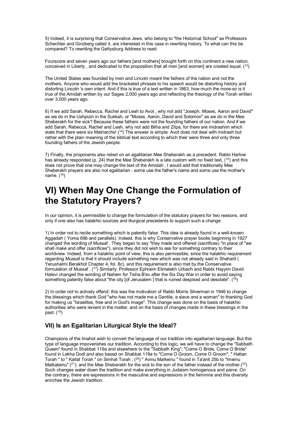5) Indeed, it is surprising that Conservative Jews, who belong to "the Historical School" as Professors Schechter and Ginzberg called it, are interested in this case in rewriting history. To what can this be compared? To rewriting the Gettysburg Address to read:

Fourscore and seven years ago our fathers [and mothers] brought forth on this continent a new nation, conceived in Liberty , and dedicated to the proposition that all men [and women] are created equal. (13)

The United States was founded by men and Lincoln meant the fathers of the nation and not the mothers. Anyone who would add the bracketed phrases to his speech would be distorting history and distorting Lincoln 's own intent. And if this is true of a text written in 1863, how much the more-so is it true of the Amidah written by our Sages 2,000 years ago and reflecting the theology of the Torah written over 3,000 years ago.

6) If we add Sarah, Rebecca, Rachel and Leah to Avot , why not add "Joseph, Moses, Aaron and David" as we do in the Ushpizin in the Sukkah, or "Moses, Aaron, David and Solomon" as we do in the Mee Sheberakh for the sick? Because these fathers were not the founding fathers of our nation. And if we add Sarah, Rebecca, Rachel and Leah, why not add Bilha and Zilpa, for there are midrashim which state that there were six Matriarchs!  $(14)$  The answer is simple: Avot does not deal with midrash but rather with the plain meaning of the biblical text according to which their were three and only three founding fathers of the Jewish people.

7) Finally, the proponents also relied on an egalitarian Mee Sheberakh as a precedent. Rabbi Harlow has already responded (p. 24) that the Mee Sheberakh is a late custom with no fixed text,  $(^{15})$  and this does not prove that one may change the text of the Amidah . I would add that traditionally Mee Sheberakh prayers are also not egalitarian - some use the father's name and some use the mother's name.  $(^{16})$ 

## **VI) When May One Change the Formulation of the Statutory Prayers?**

In our opinion, it is permissible to change the formulation of the statutory prayers for two reasons, and only if one also has halakhic sources and liturgical precedents to support such a change:

1) In order not to recite something which is patently false: This idea is already found in a well-known Aggadah ( Yoma 69b and parallels). Indeed, this is why Conservative prayer books beginning in 1927 changed the wording of Mussaf . They began to say "they made and offered (sacrifices) "in place of "we shall make and offer (sacrifices"), since they did not wish to ask for something contrary to their worldview. Indeed, from a halakhic point of view, this is also permissible, since the halakhic requirement regarding Mussaf is that it should include something new which was not already said in Shaharit ( Yerushalmi Berakhot Chapter 4, fol. 8c), and this requirement is also met by the Conservative formulation of Mussaf . (17) Similarly, Professor Ephraim Elimelekh Urbach and Rabbi Hayyim David Halevi changed the wording of Nahem for Tisha B'av after the Six Day War in order to avoid saying something patently false about "the city [of Jerusalem ] that is ruined despised and desolate".  $(18)$ 

2) In order not to actively offend: this was the motivation of Rabbi Morris Silverman in 1946 to change the blessings which thank God "who has not made me a Gentile, a slave and a woman" to thanking God for making us "Israelites, free and in God's image". This change was done on the basis of halakhic authorities who were lenient in the matter, and on the basis of changes made in these blessings in the past.  $(19)$ 

#### **VII) Is an Egalitarian Liturgical Style the Ideal?**

Champions of the Imahot wish to convert the language of our tradition into egalitarian language. But this type of language impoverishes our tradition. According to this logic, we will have to change the "Sabbath Queen" found in Shabbat 119a and elsewhere to the "Sabbath King"; "Come O Bride, Come O Bride" found in Lekha Dodi and also based on Shabbat 119a to "Come O Groom, Come O Groom"; " Hattan Torah " to " Kallat Torah " on Simhat Torah ; (<sup>20</sup>) " Avinu Malkeinu " found in Ta'anit 25b to "Imeinu Malkateinu" ( $^{21}$ ); and the Mee Sheberakh for the sick to the son of the father instead of the mother.( $^{22}$ ) Such changes water down the tradition and make everything in Judaism homogenous and parve. On the contrary, there are expressions in the masculine and expressions in the feminine and this diversity enriches the Jewish tradition.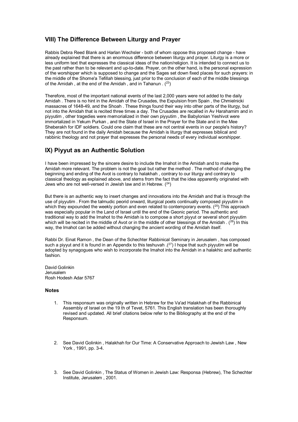#### **VIII) The Difference Between Liturgy and Prayer**

Rabbis Debra Reed Blank and Harlan Wechsler - both of whom oppose this proposed change - have already explained that there is an enormous difference between liturgy and prayer. Liturgy is a more or less uniform text that expresses the classical ideas of the nation/religion. It is intended to connect us to the past rather than to be relevant and up-to-date. Prayer, on the other hand, is the personal expression of the worshipper which is supposed to change and the Sages set down fixed places for such prayers: in the middle of the Shome'a Tefillah blessing, just prior to the conclusion of each of the middle blessings of the Amidah , at the end of the Amidah , and in Tahanun . (23)

Therefore, most of the important national events of the last 2,000 years were not added to the daily Amidah . There is no hint in the Amidah of the Crusades, the Expulsion from Spain , the Chmielnicki massacres of 1648-49, and the Shoah . These things found their way into other parts of the liturgy, but not into the Amidah that is recited three times a day. The Crusades are recalled in Av Harahamim and in piyyutim , other tragedies were memorialized in their own piyyutim , the Babylonian Yeshivot were immortalized in Yekum Purkan , and the State of Israel in the Prayer for the State and in the Mee Sheberakh for IDF soldiers. Could one claim that these are not central events in our people's history? They are not found in the daily Amidah because the Amidah is liturgy that expresses biblical and rabbinic theology and not prayer that expresses the personal needs of every individual worshipper.

#### **IX) Piyyut as an Authentic Solution**

I have been impressed by the sincere desire to include the Imahot in the Amidah and to make the Amidah more relevant. The problem is not the goal but rather the method . The method of changing the beginning and ending of the Avot is contrary to halakhah , contrary to our liturgy and contrary to classical theology as explained above, and stems from the fact that the idea apparently originated with Jews who are not well-versed in Jewish law and in Hebrew. (24)

But there is an authentic way to insert changes and innovations into the Amidah and that is through the use of piyyutim . From the talmudic peorid onward, liturgical poets continually composed piyyutim in which they expounded the weekly portion and even related to contemporary events.  $(^{25})$  This approach was especially popular in the Land of Israel until the end of the Geonic period. The authentic and traditional way to add the Imahot to the Amidah is to compose a short piyyut or several short piyyutim which will be recited in the middle of Avot or in the middle of other blessings of the Amidah .  $(^{26})$  In this way, the Imahot can be added without changing the ancient wording of the Amidah itself.

Rabbi Dr. Einat Ramon , the Dean of the Schechter Rabbinical Seminary in Jerusalem , has composed such a piyyut and it is found in an Appendix to this teshuvah  $(27)$  I hope that such piyyutim will be adopted by synagogues who wish to incorporate the Imahot into the Amidah in a halakhic and authentic fashion.

David Golinkin Jerusalem Rosh Hodesh Adar 5767

#### **Notes**

- 1. This responsum was originally written in Hebrew for the Va'ad Halakhah of the Rabbinical Assembly of Israel on the 19 th of Tevet, 5761. This English translation has been thoroughly revised and updated. All brief citations below refer to the Bibliography at the end of the Responsum.
- 2. See David Golinkin , Halakhah for Our Time: A Conservative Approach to Jewish Law , New York , 1991, pp. 3-4.
- 3. See David Golinkin , The Status of Women in Jewish Law: Responsa (Hebrew), The Schechter Institute, Jerusalem , 2001.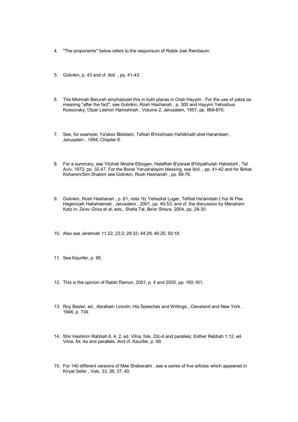- 4. "The proponents" below refers to the responsum of Rabbi Joel Rembaum.
- 5. Golinkin, p. 43 and cf. ibid. , pp. 41-43.
- 6. The Mishnah Berurah emphasized this in both places in Orah Hayyim . For the use of yatza as meaning "after the fact", see Golinkin, Rosh Hashanah , p. 300 and Hayyim Yehoshua Kossovsky, Otzar Leshon Hamishnah , Volume 2, Jerusalem, 1957, pp. 869-870.
- 7. See, for example, Ya'akov Blidstein, Tefilah B'mishnato Hahilkhatit shel Harambam , Jerusalem , 1994, Chapter 6.
- 8. For a summary, see Yitzhak Moshe Elbogen, Hatefilah B'yisrael B'hitpathutah Hahistorit , Tel Aviv, 1972, pp. 32-47. For the Bonei Yerushalayim blessing, see ibid. , pp. 41-42 and for Birkat Kohanim/Sim Shalom see Golinkin, Rosh Hashanah , pp. 69-76.
- 9. Golinkin, Rosh Hashanah , p. 61, note 1b; Yehezkel Luger, Tefillat Ha'amidah L'hol Al Pee Hagenizah Hakaheereet , Jerusalem , 2001, pp. 40-53; and cf. the discussion by Menahem Katz in: Ze'ev Griss et al, eds., Shefa Tal, Be'er Sheva, 2004, pp. 28-30.
- 10. Also see Jeremiah 11:22; 23:2; 29:32; 44:29; 46:25; 50:18.
- 11. See Kaunfer, p. 95.
- 12. This is the opinion of Rabbi Ramon, 2001, p. 4 and 2005, pp. 160-161.
- 13. Roy Basler, ed., Abraham Lincoln: His Speeches and Writings , Cleveland and New York , 1946, p. 734.
- 14. Shir Hashirim Rabbah 6, 4, 2, ed. Vilna, fols. 33c-d and parallels; Esther Rabbah 1:12, ed. Vilna. fol. 4a and parallels. And cf. Kaunfer, p. 99.
- 15. For 140 different versions of Mee Sheberakh , see a series of five articles which appeared in Kiryat Sefer , Vols. 33, 36, 37, 40.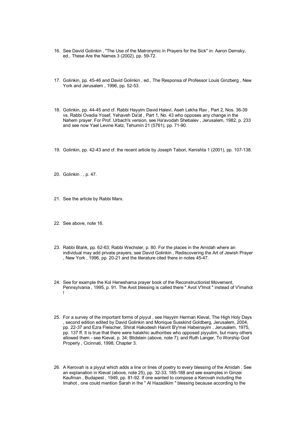- 16. See David Golinkin , "The Use of the Matronymic in Prayers for the Sick" in: Aaron Demsky, ed., These Are the Names 3 (2002), pp. 59-72.
- 17. Golinkin, pp. 45-46 and David Golinkin , ed., The Responsa of Professor Louis Ginzberg , New York and Jerusalem , 1996, pp. 52-53.
- 18. Golinkin, pp. 44-45 and cf. Rabbi Hayyim David Halevi, Aseh Lekha Rav , Part 2, Nos. 36-39 vs. Rabbi Ovadia Yosef, Yehaveh Da'at , Part 1, No. 43 who opposes any change in the Nahem prayer. For Prof. Urbach's version, see Ha'avodah Shebalev , Jerusalem, 1982, p. 233 and see now Yael Levine Katz, Tehumin 21 (5761), pp. 71-90.
- 19. Golinkin, pp. 42-43 and cf. the recent article by Joseph Tabori, Kenishta 1 (2001), pp. 107-138.
- 20. Golinkin . , p. 47.
- 21. See the article by Rabbi Marx.
- 22. See above, note 16.
- 23. Rabbi Blank, pp. 62-63; Rabbi Wechsler, p. 80. For the places in the Amidah where an individual may add private prayers, see David Golinkin , Rediscovering the Art of Jewish Prayer , New York , 1996, pp. 20-21 and the literature cited there in notes 45-47.
- 24. See for example the Kol Heneshama prayer book of the Reconstructionist Movement, Pennsylvania , 1995, p. 91. The Avot blessing is called there " Avot V'Imot " instead of V'imahot !
- 25. For a survey of the important forms of piyyut , see Hayyim Herman Kieval, The High Holy Days , second edition edited by David Golinkin and Monique Susskind Goldberg, Jerusalem, 2004, pp. 22-37 and Ezra Fleischer, Shirat Hakodesh Haivrit B'y'mei Habeinayim , Jerusalem, 1975, pp. 137 ff. It is true that there were halakhic authorities who opposed piyyutim, but many others allowed them - see Kieval, p. 34; Blidstein (above, note 7); and Ruth Langer, To Worship God Properly , Cicinnati, 1998, Chapter 3.
- 26. A Kerovah is a piyyut which adds a line or lines of poetry to every blessing of the Amidah . See an explanation in Kieval (above, note 25), pp. 32-33, 185-188 and see examples in Ginzei Kaufman , Budapest , 1949, pp. 81-92. If one wanted to compose a Kerovah including the Imahot , one could mention Sarah in the " Al Hazadikim " blessing because according to the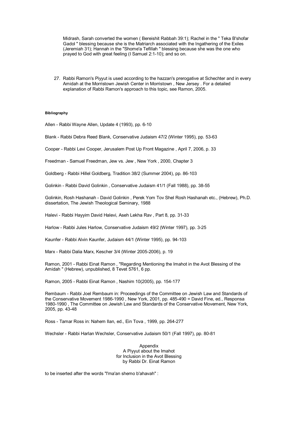Midrash, Sarah converted the women ( Bereishit Rabbah 39:1); Rachel in the " Teka B'shofar Gadol " blessing because she is the Matriarch associated with the Ingathering of the Exiles (Jeremiah 31); Hannah in the "Shome'a Tefillah " blessing because she was the one who prayed to God with great feeling (I Samuel 2:1-10); and so on.

27. Rabbi Ramon's Piyyut is used according to the hazzan's prerogative at Schechter and in every Amidah at the Morristown Jewish Center in Morristown , New Jersey . For a detailed explanation of Rabbi Ramon's approach to this topic, see Ramon, 2005.

#### **Bibliography**

Allen - Rabbi Wayne Allen, Update 4 (1993), pp. 6-10

Blank - Rabbi Debra Reed Blank, Conservative Judaism 47/2 (Winter 1995), pp. 53-63

Cooper - Rabbi Levi Cooper, Jerusalem Post Up Front Magazine , April 7, 2006, p. 33

Freedman - Samuel Freedman, Jew vs. Jew , New York , 2000, Chapter 3

Goldberg - Rabbi Hillel Goldberg, Tradition 38/2 (Summer 2004), pp. 86-103

Golinkin - Rabbi David Golinkin , Conservative Judaism 41/1 (Fall 1988), pp. 38-55

Golinkin, Rosh Hashanah - David Golinkin , Perek Yom Tov Shel Rosh Hashanah etc., (Hebrew), Ph.D. dissertation, The Jewish Theological Seminary, 1988

Halevi - Rabbi Hayyim David Halevi, Aseh Lekha Rav , Part 8, pp. 31-33

Harlow - Rabbi Jules Harlow, Conservative Judaism 49/2 (Winter 1997), pp. 3-25

Kaunfer - Rabbi Alvin Kaunfer, Judaism 44/1 (Winter 1995), pp. 94-103

Marx - Rabbi Dalia Marx, Kescher 3/4 (Winter 2005-2006), p. 19

Ramon, 2001 - Rabbi Einat Ramon , "Regarding Mentioning the Imahot in the Avot Blessing of the Amidah " (Hebrew), unpublished, 8 Tevet 5761, 6 pp.

Ramon, 2005 - Rabbi Einat Ramon , Nashim 10(2005), pp. 154-177

Rembaum - Rabbi Joel Rembaum in: Proceedings of the Committee on Jewish Law and Standards of the Conservative Movement 1986-1990 , New York, 2001, pp. 485-490 = David Fine, ed., Responsa 1980-1990 , The Committee on Jewish Law and Standards of the Conservative Movement, New York, 2005, pp. 43-48

Ross - Tamar Ross in: Nahem Ilan, ed., Ein Tova , 1999, pp. 264-277

Wechsler - Rabbi Harlan Wechsler, Conservative Judaism 50/1 (Fall 1997), pp. 80-81

Appendix A Piyyut about the Imahot for Inclusion in the Avot Blessing by Rabbi Dr. Einat Ramon

to be inserted after the words "l'ma'an shemo b'ahavah" :